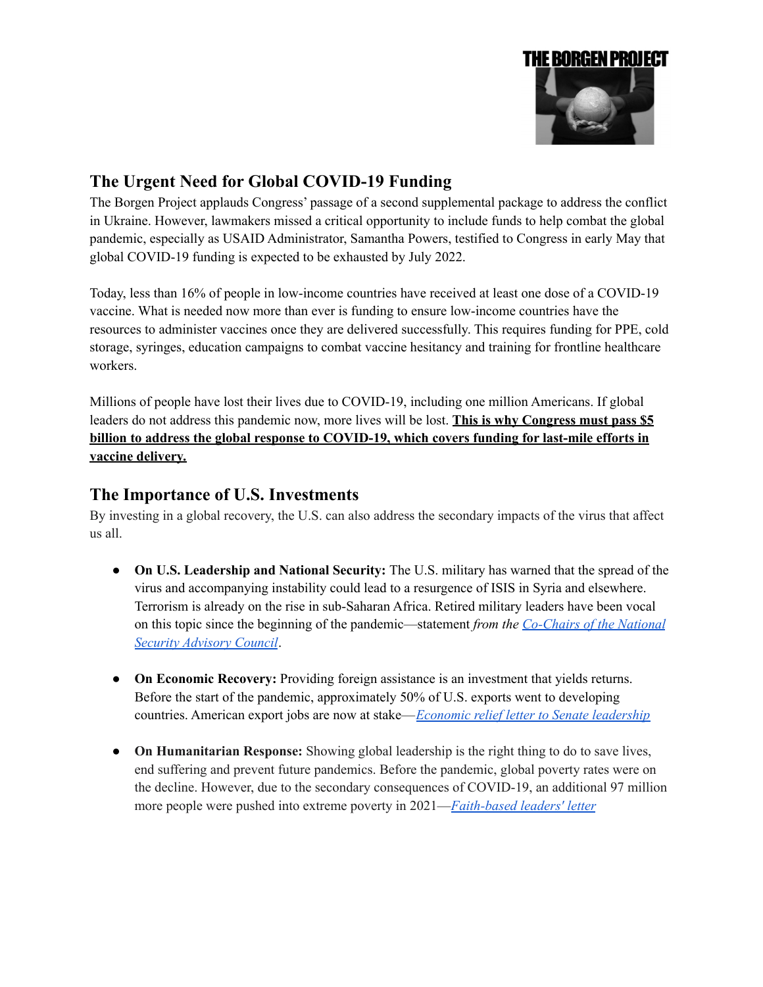

## **The Urgent Need for Global COVID-19 Funding**

The Borgen Project applauds Congress' passage of a second supplemental package to address the conflict in Ukraine. However, lawmakers missed a critical opportunity to include funds to help combat the global pandemic, especially as USAID Administrator, Samantha Powers, testified to Congress in early May that global COVID-19 funding is expected to be exhausted by July 2022.

Today, less than 16% of people in low-income countries have received at least one dose of a COVID-19 vaccine. What is needed now more than ever is funding to ensure low-income countries have the resources to administer vaccines once they are delivered successfully. This requires funding for PPE, cold storage, syringes, education campaigns to combat vaccine hesitancy and training for frontline healthcare workers.

Millions of people have lost their lives due to COVID-19, including one million Americans. If global leaders do not address this pandemic now, more lives will be lost. **This is why Congress must pass \$5 billion to address the global response to COVID-19, which covers funding for last-mile efforts in vaccine delivery.**

## **The Importance of U.S. Investments**

By investing in a global recovery, the U.S. can also address the secondary impacts of the virus that affect us all.

- **On U.S. Leadership and National Security:** The U.S. military has warned that the spread of the virus and accompanying instability could lead to a resurgence of ISIS in Syria and elsewhere. Terrorism is already on the rise in sub-Saharan Africa. Retired military leaders have been vocal on this topic since the beginning of the pandemic—statement *from the [Co-Chairs](https://www.usglc.org/newsroom/statement-from-the-co-chairs-of-the-usglc-national-security-advisory-council-on-emergency-covid-19-funding/) of the National Security [Advisory](https://www.usglc.org/newsroom/statement-from-the-co-chairs-of-the-usglc-national-security-advisory-council-on-emergency-covid-19-funding/) Council*.
- **On Economic Recovery:** Providing foreign assistance is an investment that yields returns. Before the start of the pandemic, approximately 50% of U.S. exports went to developing countries. American export jobs are now at stake—*Economic relief letter to Senate [leadership](https://www.rubio.senate.gov/public/_cache/files/3db87974-b49f-450c-921f-7eb41274ea95/BA2F3316CF057D7203FA965D96AC13AC.2020-07-09-cardin-rubio-covid-intl-aid-letter-formatted-final-signedupdate.pdf)*
- **On Humanitarian Response:** Showing global leadership is the right thing to do to save lives, end suffering and prevent future pandemics. Before the pandemic, global poverty rates were on the decline. However, due to the secondary consequences of COVID-19, an additional 97 million more people were pushed into extreme poverty in 2021—*[Faith-based](https://www.usglc.org/media/2020/07/2020-faith-leader-letter-covid-19.pdf) leaders' letter*